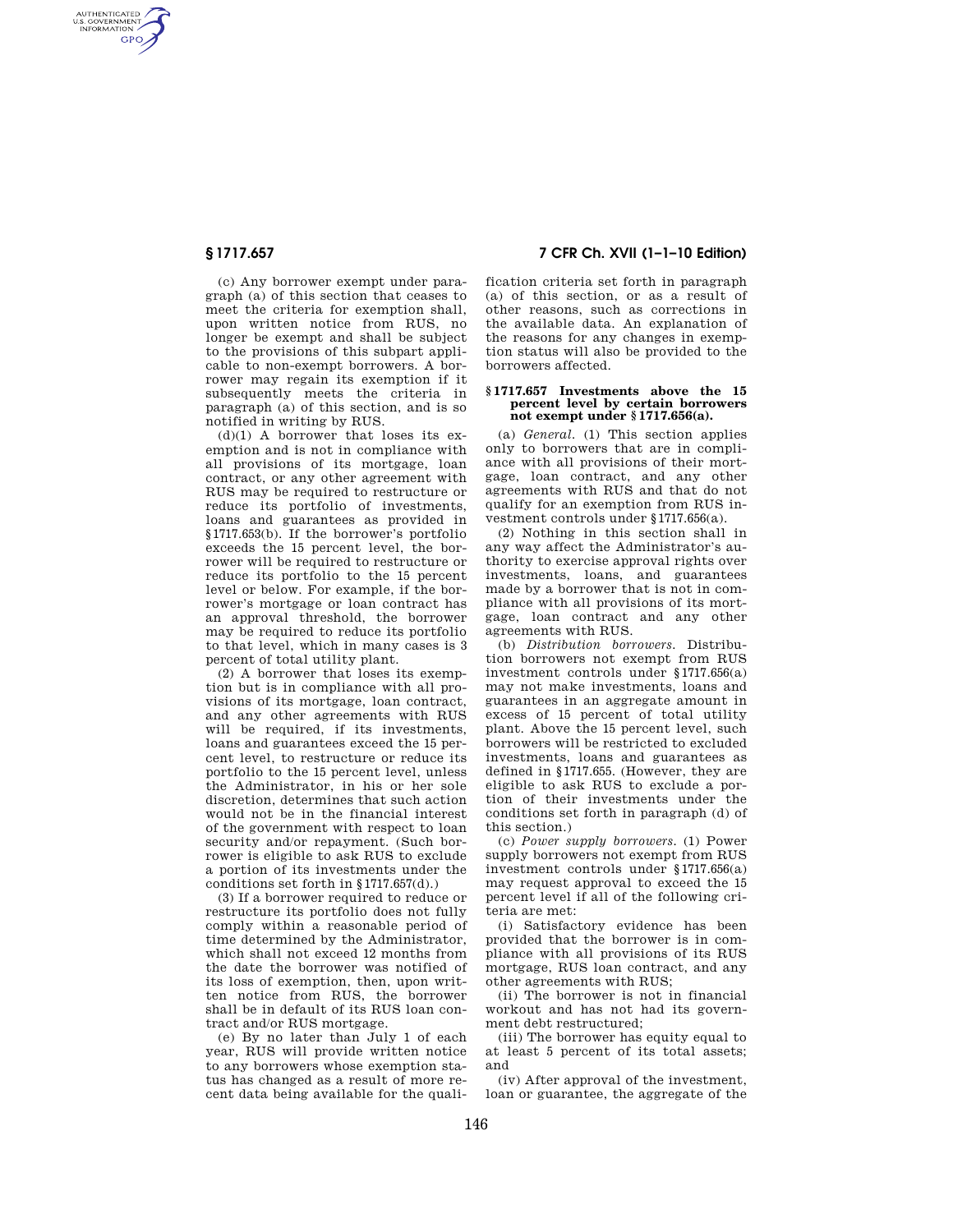AUTHENTICATED<br>U.S. GOVERNMENT<br>INFORMATION **GPO** 

> (c) Any borrower exempt under paragraph (a) of this section that ceases to meet the criteria for exemption shall, upon written notice from RUS, no longer be exempt and shall be subject to the provisions of this subpart applicable to non-exempt borrowers. A borrower may regain its exemption if it subsequently meets the criteria in paragraph (a) of this section, and is so notified in writing by RUS.

> $(d)(1)$  A borrower that loses its exemption and is not in compliance with all provisions of its mortgage, loan contract, or any other agreement with RUS may be required to restructure or reduce its portfolio of investments, loans and guarantees as provided in §1717.653(b). If the borrower's portfolio exceeds the 15 percent level, the borrower will be required to restructure or reduce its portfolio to the 15 percent level or below. For example, if the borrower's mortgage or loan contract has an approval threshold, the borrower may be required to reduce its portfolio to that level, which in many cases is 3 percent of total utility plant.

> (2) A borrower that loses its exemption but is in compliance with all provisions of its mortgage, loan contract, and any other agreements with RUS will be required, if its investments, loans and guarantees exceed the 15 percent level, to restructure or reduce its portfolio to the 15 percent level, unless the Administrator, in his or her sole discretion, determines that such action would not be in the financial interest of the government with respect to loan security and/or repayment. (Such borrower is eligible to ask RUS to exclude a portion of its investments under the conditions set forth in §1717.657(d).)

> (3) If a borrower required to reduce or restructure its portfolio does not fully comply within a reasonable period of time determined by the Administrator, which shall not exceed 12 months from the date the borrower was notified of its loss of exemption, then, upon written notice from RUS, the borrower shall be in default of its RUS loan contract and/or RUS mortgage.

> (e) By no later than July 1 of each year, RUS will provide written notice to any borrowers whose exemption status has changed as a result of more recent data being available for the quali-

**§ 1717.657 7 CFR Ch. XVII (1–1–10 Edition)** 

fication criteria set forth in paragraph (a) of this section, or as a result of other reasons, such as corrections in the available data. An explanation of the reasons for any changes in exemption status will also be provided to the borrowers affected.

## **§ 1717.657 Investments above the 15 percent level by certain borrowers not exempt under § 1717.656(a).**

(a) *General.* (1) This section applies only to borrowers that are in compliance with all provisions of their mortgage, loan contract, and any other agreements with RUS and that do not qualify for an exemption from RUS investment controls under §1717.656(a).

(2) Nothing in this section shall in any way affect the Administrator's authority to exercise approval rights over investments, loans, and guarantees made by a borrower that is not in compliance with all provisions of its mortgage, loan contract and any other agreements with RUS.

(b) *Distribution borrowers.* Distribution borrowers not exempt from RUS investment controls under §1717.656(a) may not make investments, loans and guarantees in an aggregate amount in excess of 15 percent of total utility plant. Above the 15 percent level, such borrowers will be restricted to excluded investments, loans and guarantees as defined in §1717.655. (However, they are eligible to ask RUS to exclude a portion of their investments under the conditions set forth in paragraph (d) of this section.)

(c) *Power supply borrowers.* (1) Power supply borrowers not exempt from RUS investment controls under §1717.656(a) may request approval to exceed the 15 percent level if all of the following criteria are met:

(i) Satisfactory evidence has been provided that the borrower is in compliance with all provisions of its RUS mortgage, RUS loan contract, and any other agreements with RUS;

(ii) The borrower is not in financial workout and has not had its government debt restructured;

(iii) The borrower has equity equal to at least 5 percent of its total assets; and

(iv) After approval of the investment, loan or guarantee, the aggregate of the